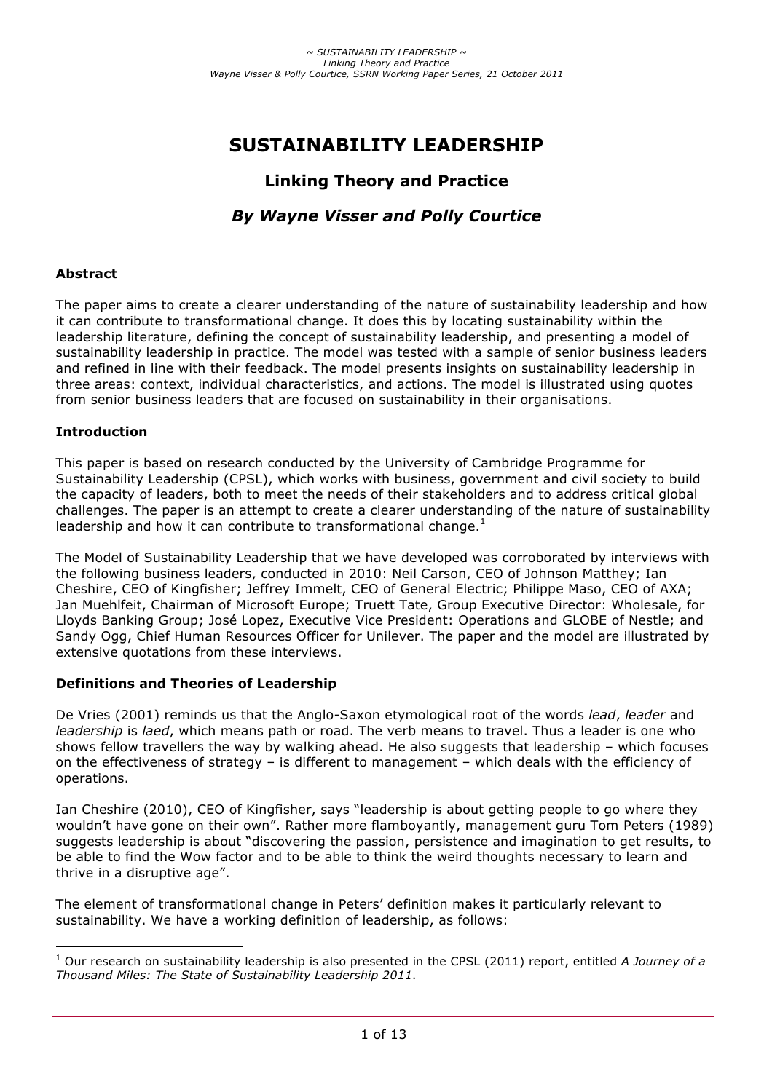# **SUSTAINABILITY LEADERSHIP**

# **Linking Theory and Practice**

# *By Wayne Visser and Polly Courtice*

#### **Abstract**

The paper aims to create a clearer understanding of the nature of sustainability leadership and how it can contribute to transformational change. It does this by locating sustainability within the leadership literature, defining the concept of sustainability leadership, and presenting a model of sustainability leadership in practice. The model was tested with a sample of senior business leaders and refined in line with their feedback. The model presents insights on sustainability leadership in three areas: context, individual characteristics, and actions. The model is illustrated using quotes from senior business leaders that are focused on sustainability in their organisations.

#### **Introduction**

 $\overline{a}$ 

This paper is based on research conducted by the University of Cambridge Programme for Sustainability Leadership (CPSL), which works with business, government and civil society to build the capacity of leaders, both to meet the needs of their stakeholders and to address critical global challenges. The paper is an attempt to create a clearer understanding of the nature of sustainability leadership and how it can contribute to transformational change. $<sup>1</sup>$ </sup>

The Model of Sustainability Leadership that we have developed was corroborated by interviews with the following business leaders, conducted in 2010: Neil Carson, CEO of Johnson Matthey; Ian Cheshire, CEO of Kingfisher; Jeffrey Immelt, CEO of General Electric; Philippe Maso, CEO of AXA; Jan Muehlfeit, Chairman of Microsoft Europe; Truett Tate, Group Executive Director: Wholesale, for Lloyds Banking Group; José Lopez, Executive Vice President: Operations and GLOBE of Nestle; and Sandy Ogg, Chief Human Resources Officer for Unilever. The paper and the model are illustrated by extensive quotations from these interviews.

#### **Definitions and Theories of Leadership**

De Vries (2001) reminds us that the Anglo-Saxon etymological root of the words *lead*, *leader* and *leadership* is *laed*, which means path or road. The verb means to travel. Thus a leader is one who shows fellow travellers the way by walking ahead. He also suggests that leadership – which focuses on the effectiveness of strategy – is different to management – which deals with the efficiency of operations.

Ian Cheshire (2010), CEO of Kingfisher, says "leadership is about getting people to go where they wouldn't have gone on their own". Rather more flamboyantly, management guru Tom Peters (1989) suggests leadership is about "discovering the passion, persistence and imagination to get results, to be able to find the Wow factor and to be able to think the weird thoughts necessary to learn and thrive in a disruptive age".

The element of transformational change in Peters' definition makes it particularly relevant to sustainability. We have a working definition of leadership, as follows:

<sup>1</sup> Our research on sustainability leadership is also presented in the CPSL (2011) report, entitled *A Journey of a Thousand Miles: The State of Sustainability Leadership 2011*.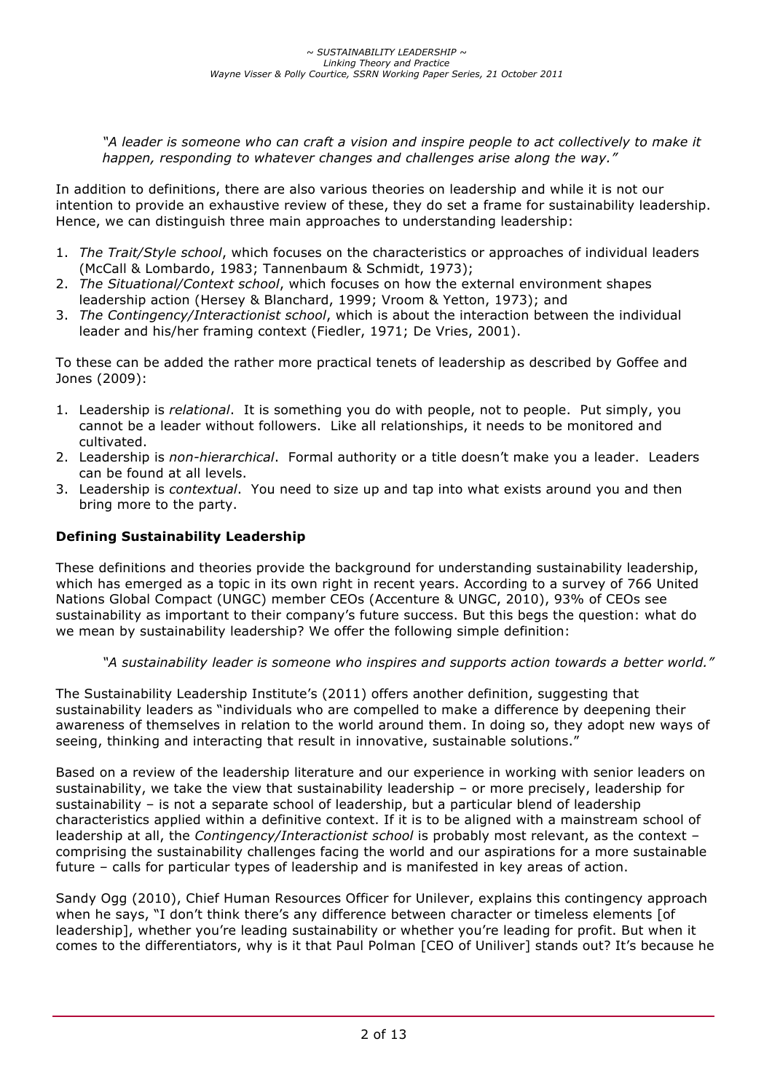*"A leader is someone who can craft a vision and inspire people to act collectively to make it happen, responding to whatever changes and challenges arise along the way."*

In addition to definitions, there are also various theories on leadership and while it is not our intention to provide an exhaustive review of these, they do set a frame for sustainability leadership. Hence, we can distinguish three main approaches to understanding leadership:

- 1. *The Trait/Style school*, which focuses on the characteristics or approaches of individual leaders (McCall & Lombardo, 1983; Tannenbaum & Schmidt, 1973);
- 2. *The Situational/Context school*, which focuses on how the external environment shapes leadership action (Hersey & Blanchard, 1999; Vroom & Yetton, 1973); and
- 3. *The Contingency/Interactionist school*, which is about the interaction between the individual leader and his/her framing context (Fiedler, 1971; De Vries, 2001).

To these can be added the rather more practical tenets of leadership as described by Goffee and Jones (2009):

- 1. Leadership is *relational*. It is something you do with people, not to people. Put simply, you cannot be a leader without followers. Like all relationships, it needs to be monitored and cultivated.
- 2. Leadership is *non-hierarchical*. Formal authority or a title doesn't make you a leader. Leaders can be found at all levels.
- 3. Leadership is *contextual*. You need to size up and tap into what exists around you and then bring more to the party.

# **Defining Sustainability Leadership**

These definitions and theories provide the background for understanding sustainability leadership, which has emerged as a topic in its own right in recent years. According to a survey of 766 United Nations Global Compact (UNGC) member CEOs (Accenture & UNGC, 2010), 93% of CEOs see sustainability as important to their company's future success. But this begs the question: what do we mean by sustainability leadership? We offer the following simple definition:

### *"A sustainability leader is someone who inspires and supports action towards a better world."*

The Sustainability Leadership Institute's (2011) offers another definition, suggesting that sustainability leaders as "individuals who are compelled to make a difference by deepening their awareness of themselves in relation to the world around them. In doing so, they adopt new ways of seeing, thinking and interacting that result in innovative, sustainable solutions."

Based on a review of the leadership literature and our experience in working with senior leaders on sustainability, we take the view that sustainability leadership – or more precisely, leadership for sustainability – is not a separate school of leadership, but a particular blend of leadership characteristics applied within a definitive context. If it is to be aligned with a mainstream school of leadership at all, the *Contingency/Interactionist school* is probably most relevant, as the context – comprising the sustainability challenges facing the world and our aspirations for a more sustainable future – calls for particular types of leadership and is manifested in key areas of action.

Sandy Ogg (2010), Chief Human Resources Officer for Unilever, explains this contingency approach when he says, "I don't think there's any difference between character or timeless elements [of leadership], whether you're leading sustainability or whether you're leading for profit. But when it comes to the differentiators, why is it that Paul Polman [CEO of Uniliver] stands out? It's because he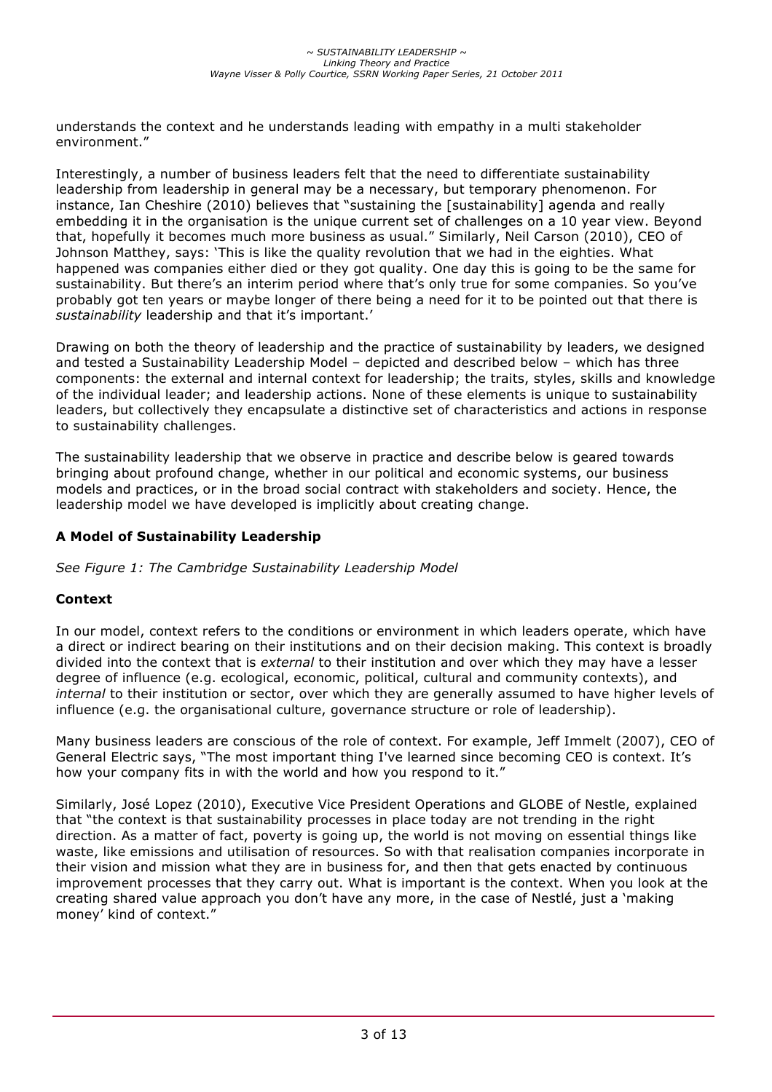understands the context and he understands leading with empathy in a multi stakeholder environment."

Interestingly, a number of business leaders felt that the need to differentiate sustainability leadership from leadership in general may be a necessary, but temporary phenomenon. For instance, Ian Cheshire (2010) believes that "sustaining the [sustainability] agenda and really embedding it in the organisation is the unique current set of challenges on a 10 year view. Beyond that, hopefully it becomes much more business as usual." Similarly, Neil Carson (2010), CEO of Johnson Matthey, says: 'This is like the quality revolution that we had in the eighties. What happened was companies either died or they got quality. One day this is going to be the same for sustainability. But there's an interim period where that's only true for some companies. So you've probably got ten years or maybe longer of there being a need for it to be pointed out that there is *sustainability* leadership and that it's important.'

Drawing on both the theory of leadership and the practice of sustainability by leaders, we designed and tested a Sustainability Leadership Model – depicted and described below – which has three components: the external and internal context for leadership; the traits, styles, skills and knowledge of the individual leader; and leadership actions. None of these elements is unique to sustainability leaders, but collectively they encapsulate a distinctive set of characteristics and actions in response to sustainability challenges.

The sustainability leadership that we observe in practice and describe below is geared towards bringing about profound change, whether in our political and economic systems, our business models and practices, or in the broad social contract with stakeholders and society. Hence, the leadership model we have developed is implicitly about creating change.

# **A Model of Sustainability Leadership**

*See Figure 1: The Cambridge Sustainability Leadership Model*

### **Context**

In our model, context refers to the conditions or environment in which leaders operate, which have a direct or indirect bearing on their institutions and on their decision making. This context is broadly divided into the context that is *external* to their institution and over which they may have a lesser degree of influence (e.g. ecological, economic, political, cultural and community contexts), and *internal* to their institution or sector, over which they are generally assumed to have higher levels of influence (e.g. the organisational culture, governance structure or role of leadership).

Many business leaders are conscious of the role of context. For example, Jeff Immelt (2007), CEO of General Electric says, "The most important thing I've learned since becoming CEO is context. It's how your company fits in with the world and how you respond to it."

Similarly, José Lopez (2010), Executive Vice President Operations and GLOBE of Nestle, explained that "the context is that sustainability processes in place today are not trending in the right direction. As a matter of fact, poverty is going up, the world is not moving on essential things like waste, like emissions and utilisation of resources. So with that realisation companies incorporate in their vision and mission what they are in business for, and then that gets enacted by continuous improvement processes that they carry out. What is important is the context. When you look at the creating shared value approach you don't have any more, in the case of Nestlé, just a 'making money' kind of context."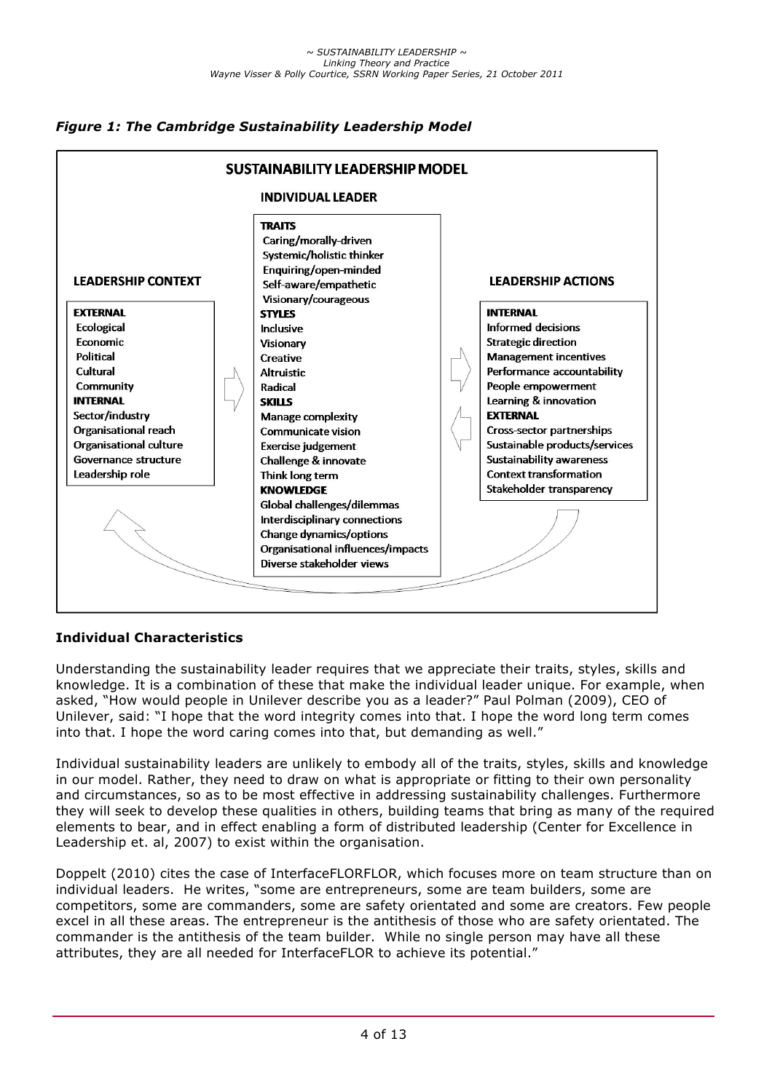



# **Individual Characteristics**

Understanding the sustainability leader requires that we appreciate their traits, styles, skills and knowledge. It is a combination of these that make the individual leader unique. For example, when asked, "How would people in Unilever describe you as a leader?" Paul Polman (2009), CEO of Unilever, said: "I hope that the word integrity comes into that. I hope the word long term comes into that. I hope the word caring comes into that, but demanding as well."

Individual sustainability leaders are unlikely to embody all of the traits, styles, skills and knowledge in our model. Rather, they need to draw on what is appropriate or fitting to their own personality and circumstances, so as to be most effective in addressing sustainability challenges. Furthermore they will seek to develop these qualities in others, building teams that bring as many of the required elements to bear, and in effect enabling a form of distributed leadership (Center for Excellence in Leadership et. al, 2007) to exist within the organisation.

Doppelt (2010) cites the case of InterfaceFLORFLOR, which focuses more on team structure than on individual leaders. He writes, "some are entrepreneurs, some are team builders, some are competitors, some are commanders, some are safety orientated and some are creators. Few people excel in all these areas. The entrepreneur is the antithesis of those who are safety orientated. The commander is the antithesis of the team builder. While no single person may have all these attributes, they are all needed for InterfaceFLOR to achieve its potential."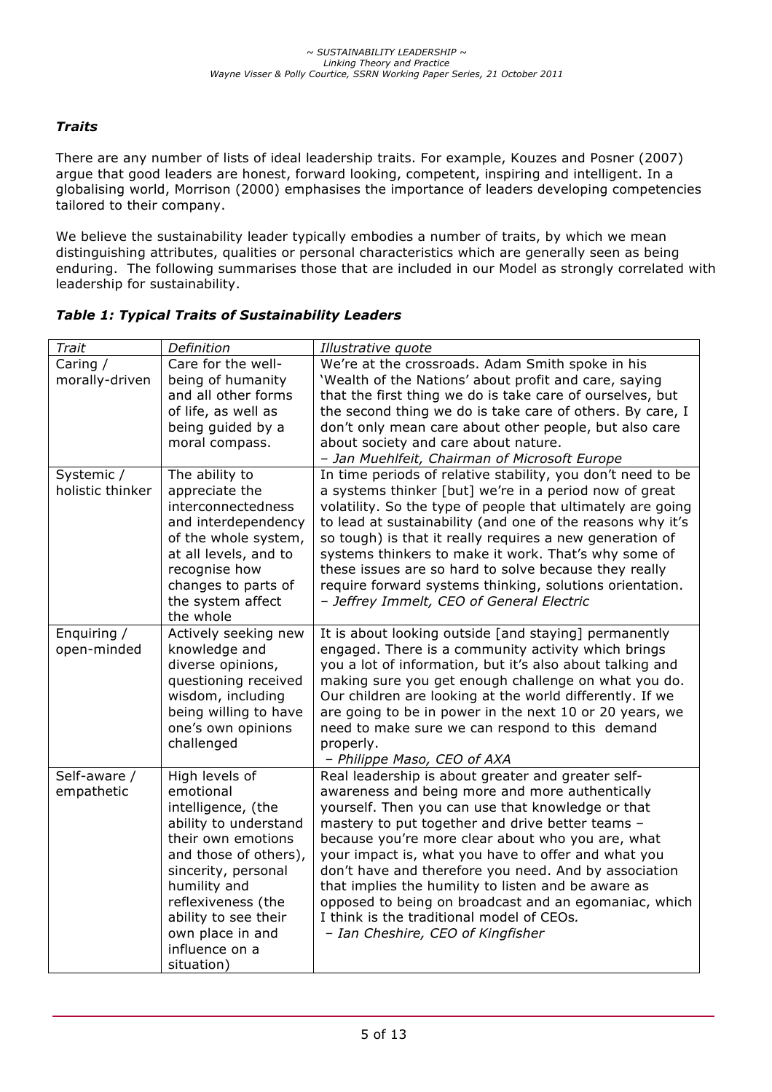# *Traits*

There are any number of lists of ideal leadership traits. For example, Kouzes and Posner (2007) argue that good leaders are honest, forward looking, competent, inspiring and intelligent. In a globalising world, Morrison (2000) emphasises the importance of leaders developing competencies tailored to their company.

We believe the sustainability leader typically embodies a number of traits, by which we mean distinguishing attributes, qualities or personal characteristics which are generally seen as being enduring. The following summarises those that are included in our Model as strongly correlated with leadership for sustainability.

| Trait                          | Definition                                                                                                                                                                                                                                                         | Illustrative quote                                                                                                                                                                                                                                                                                                                                                                                                                                                                                                                                                                    |
|--------------------------------|--------------------------------------------------------------------------------------------------------------------------------------------------------------------------------------------------------------------------------------------------------------------|---------------------------------------------------------------------------------------------------------------------------------------------------------------------------------------------------------------------------------------------------------------------------------------------------------------------------------------------------------------------------------------------------------------------------------------------------------------------------------------------------------------------------------------------------------------------------------------|
| Caring /<br>morally-driven     | Care for the well-<br>being of humanity<br>and all other forms<br>of life, as well as<br>being guided by a<br>moral compass.                                                                                                                                       | We're at the crossroads. Adam Smith spoke in his<br>'Wealth of the Nations' about profit and care, saying<br>that the first thing we do is take care of ourselves, but<br>the second thing we do is take care of others. By care, I<br>don't only mean care about other people, but also care<br>about society and care about nature.<br>- Jan Muehlfeit, Chairman of Microsoft Europe                                                                                                                                                                                                |
| Systemic /<br>holistic thinker | The ability to<br>appreciate the<br>interconnectedness<br>and interdependency<br>of the whole system,<br>at all levels, and to<br>recognise how<br>changes to parts of<br>the system affect<br>the whole                                                           | In time periods of relative stability, you don't need to be<br>a systems thinker [but] we're in a period now of great<br>volatility. So the type of people that ultimately are going<br>to lead at sustainability (and one of the reasons why it's<br>so tough) is that it really requires a new generation of<br>systems thinkers to make it work. That's why some of<br>these issues are so hard to solve because they really<br>require forward systems thinking, solutions orientation.<br>- Jeffrey Immelt, CEO of General Electric                                              |
| Enquiring /<br>open-minded     | Actively seeking new<br>knowledge and<br>diverse opinions,<br>questioning received<br>wisdom, including<br>being willing to have<br>one's own opinions<br>challenged                                                                                               | It is about looking outside [and staying] permanently<br>engaged. There is a community activity which brings<br>you a lot of information, but it's also about talking and<br>making sure you get enough challenge on what you do.<br>Our children are looking at the world differently. If we<br>are going to be in power in the next 10 or 20 years, we<br>need to make sure we can respond to this demand<br>properly.<br>- Philippe Maso, CEO of AXA                                                                                                                               |
| Self-aware /<br>empathetic     | High levels of<br>emotional<br>intelligence, (the<br>ability to understand<br>their own emotions<br>and those of others),<br>sincerity, personal<br>humility and<br>reflexiveness (the<br>ability to see their<br>own place in and<br>influence on a<br>situation) | Real leadership is about greater and greater self-<br>awareness and being more and more authentically<br>yourself. Then you can use that knowledge or that<br>mastery to put together and drive better teams -<br>because you're more clear about who you are, what<br>your impact is, what you have to offer and what you<br>don't have and therefore you need. And by association<br>that implies the humility to listen and be aware as<br>opposed to being on broadcast and an egomaniac, which<br>I think is the traditional model of CEOs.<br>- Ian Cheshire, CEO of Kingfisher |

*Table 1: Typical Traits of Sustainability Leaders*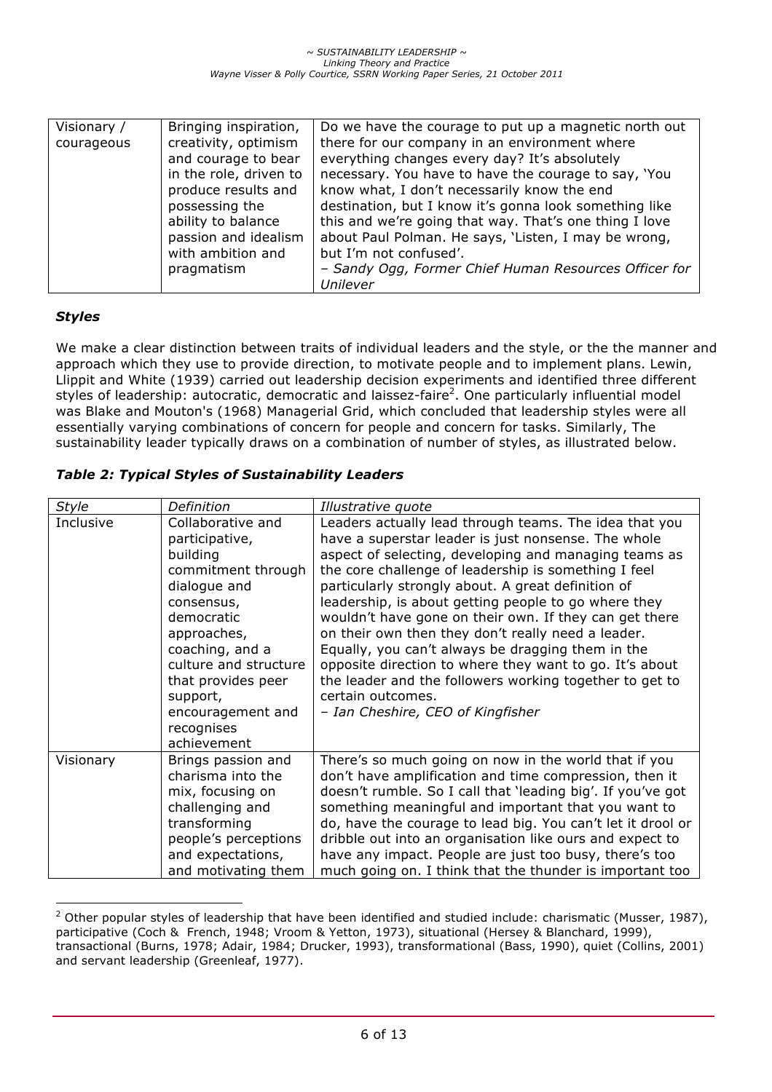| Visionary / | Bringing inspiration,  | Do we have the courage to put up a magnetic north out  |
|-------------|------------------------|--------------------------------------------------------|
| courageous  | creativity, optimism   | there for our company in an environment where          |
|             | and courage to bear    | everything changes every day? It's absolutely          |
|             | in the role, driven to | necessary. You have to have the courage to say, 'You   |
|             | produce results and    | know what, I don't necessarily know the end            |
|             | possessing the         | destination, but I know it's gonna look something like |
|             | ability to balance     | this and we're going that way. That's one thing I love |
|             | passion and idealism   | about Paul Polman. He says, 'Listen, I may be wrong,   |
|             | with ambition and      | but I'm not confused'.                                 |
|             | pragmatism             | - Sandy Ogg, Former Chief Human Resources Officer for  |
|             |                        | Unilever                                               |

# *Styles*

We make a clear distinction between traits of individual leaders and the style, or the the manner and approach which they use to provide direction, to motivate people and to implement plans. Lewin, Llippit and White (1939) carried out leadership decision experiments and identified three different styles of leadership: autocratic, democratic and laissez-faire<sup>2</sup>. One particularly influential model was Blake and Mouton's (1968) Managerial Grid, which concluded that leadership styles were all essentially varying combinations of concern for people and concern for tasks. Similarly, The sustainability leader typically draws on a combination of number of styles, as illustrated below.

# *Table 2: Typical Styles of Sustainability Leaders*

| <b>Style</b> | Definition                                                                                                                                                         | Illustrative quote                                                                                                                                                                                                                                                                                                                                                                                                                                                                     |
|--------------|--------------------------------------------------------------------------------------------------------------------------------------------------------------------|----------------------------------------------------------------------------------------------------------------------------------------------------------------------------------------------------------------------------------------------------------------------------------------------------------------------------------------------------------------------------------------------------------------------------------------------------------------------------------------|
| Inclusive    | Collaborative and<br>participative,<br>building<br>commitment through<br>dialogue and<br>consensus,<br>democratic                                                  | Leaders actually lead through teams. The idea that you<br>have a superstar leader is just nonsense. The whole<br>aspect of selecting, developing and managing teams as<br>the core challenge of leadership is something I feel<br>particularly strongly about. A great definition of<br>leadership, is about getting people to go where they<br>wouldn't have gone on their own. If they can get there                                                                                 |
|              | approaches,<br>coaching, and a<br>culture and structure<br>that provides peer<br>support,<br>encouragement and<br>recognises<br>achievement                        | on their own then they don't really need a leader.<br>Equally, you can't always be dragging them in the<br>opposite direction to where they want to go. It's about<br>the leader and the followers working together to get to<br>certain outcomes.<br>- Ian Cheshire, CEO of Kingfisher                                                                                                                                                                                                |
| Visionary    | Brings passion and<br>charisma into the<br>mix, focusing on<br>challenging and<br>transforming<br>people's perceptions<br>and expectations,<br>and motivating them | There's so much going on now in the world that if you<br>don't have amplification and time compression, then it<br>doesn't rumble. So I call that 'leading big'. If you've got<br>something meaningful and important that you want to<br>do, have the courage to lead big. You can't let it drool or<br>dribble out into an organisation like ours and expect to<br>have any impact. People are just too busy, there's too<br>much going on. I think that the thunder is important too |

 $\overline{a}$ <sup>2</sup> Other popular styles of leadership that have been identified and studied include: charismatic (Musser, 1987), participative (Coch & French, 1948; Vroom & Yetton, 1973), situational (Hersey & Blanchard, 1999), transactional (Burns, 1978; Adair, 1984; Drucker, 1993), transformational (Bass, 1990), quiet (Collins, 2001) and servant leadership (Greenleaf, 1977).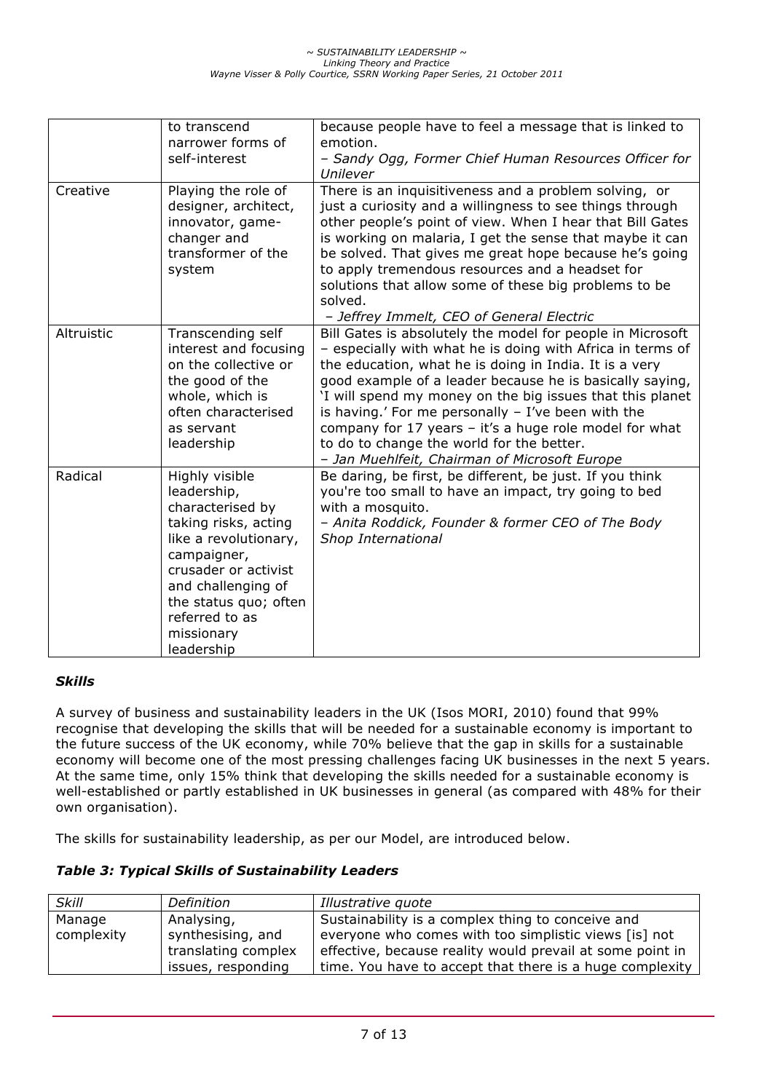|            | to transcend<br>narrower forms of<br>self-interest                                                                                                                                                                                     | because people have to feel a message that is linked to<br>emotion.<br>- Sandy Ogg, Former Chief Human Resources Officer for<br>Unilever                                                                                                                                                                                                                                                                                                                                                                                      |
|------------|----------------------------------------------------------------------------------------------------------------------------------------------------------------------------------------------------------------------------------------|-------------------------------------------------------------------------------------------------------------------------------------------------------------------------------------------------------------------------------------------------------------------------------------------------------------------------------------------------------------------------------------------------------------------------------------------------------------------------------------------------------------------------------|
| Creative   | Playing the role of<br>designer, architect,<br>innovator, game-<br>changer and<br>transformer of the<br>system                                                                                                                         | There is an inquisitiveness and a problem solving, or<br>just a curiosity and a willingness to see things through<br>other people's point of view. When I hear that Bill Gates<br>is working on malaria, I get the sense that maybe it can<br>be solved. That gives me great hope because he's going<br>to apply tremendous resources and a headset for<br>solutions that allow some of these big problems to be<br>solved.<br>- Jeffrey Immelt, CEO of General Electric                                                      |
| Altruistic | Transcending self<br>interest and focusing<br>on the collective or<br>the good of the<br>whole, which is<br>often characterised<br>as servant<br>leadership                                                                            | Bill Gates is absolutely the model for people in Microsoft<br>- especially with what he is doing with Africa in terms of<br>the education, what he is doing in India. It is a very<br>good example of a leader because he is basically saying,<br>'I will spend my money on the big issues that this planet<br>is having.' For me personally $-$ I've been with the<br>company for 17 years $-$ it's a huge role model for what<br>to do to change the world for the better.<br>- Jan Muehlfeit, Chairman of Microsoft Europe |
| Radical    | Highly visible<br>leadership,<br>characterised by<br>taking risks, acting<br>like a revolutionary,<br>campaigner,<br>crusader or activist<br>and challenging of<br>the status quo; often<br>referred to as<br>missionary<br>leadership | Be daring, be first, be different, be just. If you think<br>you're too small to have an impact, try going to bed<br>with a mosquito.<br>- Anita Roddick, Founder & former CEO of The Body<br>Shop International                                                                                                                                                                                                                                                                                                               |

### *Skills*

A survey of business and sustainability leaders in the UK (Isos MORI, 2010) found that 99% recognise that developing the skills that will be needed for a sustainable economy is important to the future success of the UK economy, while 70% believe that the gap in skills for a sustainable economy will become one of the most pressing challenges facing UK businesses in the next 5 years. At the same time, only 15% think that developing the skills needed for a sustainable economy is well-established or partly established in UK businesses in general (as compared with 48% for their own organisation).

The skills for sustainability leadership, as per our Model, are introduced below.

*Table 3: Typical Skills of Sustainability Leaders*

| <b>Skill</b> | Definition          | Illustrative quote                                        |
|--------------|---------------------|-----------------------------------------------------------|
| Manage       | Analysing,          | Sustainability is a complex thing to conceive and         |
| complexity   | synthesising, and   | everyone who comes with too simplistic views [is] not     |
|              | translating complex | effective, because reality would prevail at some point in |
|              | issues, responding  | time. You have to accept that there is a huge complexity  |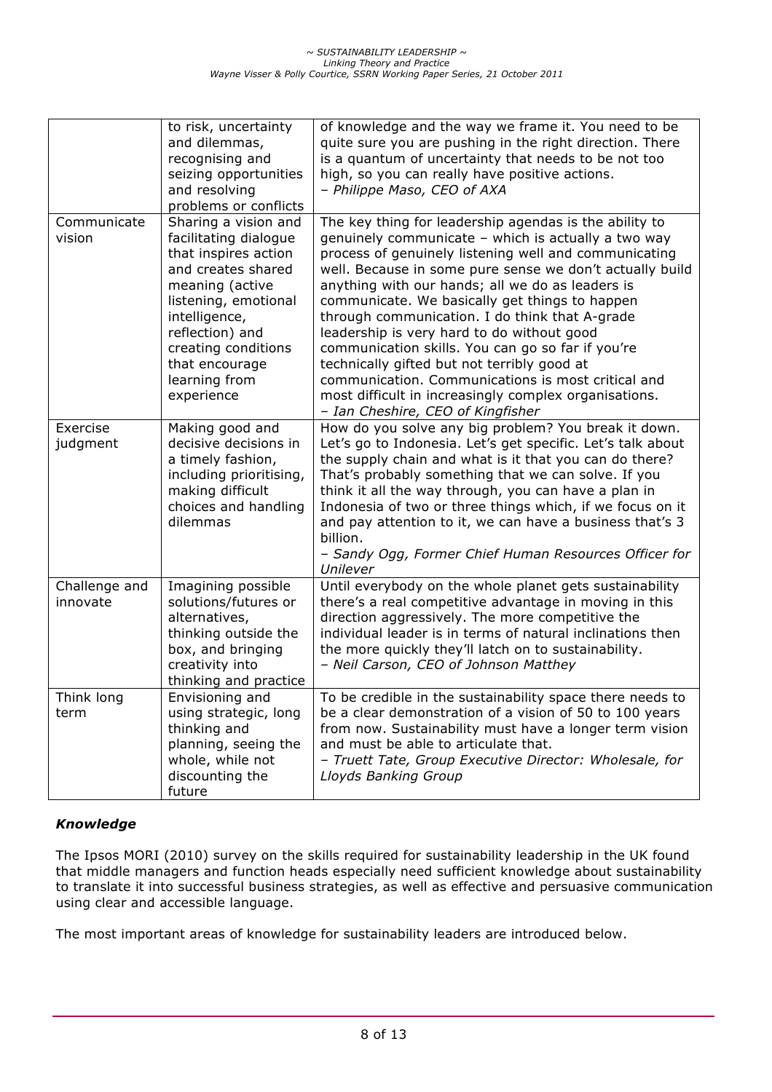|                           | to risk, uncertainty<br>and dilemmas,<br>recognising and<br>seizing opportunities<br>and resolving<br>problems or conflicts                                                                                                                        | of knowledge and the way we frame it. You need to be<br>quite sure you are pushing in the right direction. There<br>is a quantum of uncertainty that needs to be not too<br>high, so you can really have positive actions.<br>- Philippe Maso, CEO of AXA                                                                                                                                                                                                                                                                                                                                                                                                                                        |
|---------------------------|----------------------------------------------------------------------------------------------------------------------------------------------------------------------------------------------------------------------------------------------------|--------------------------------------------------------------------------------------------------------------------------------------------------------------------------------------------------------------------------------------------------------------------------------------------------------------------------------------------------------------------------------------------------------------------------------------------------------------------------------------------------------------------------------------------------------------------------------------------------------------------------------------------------------------------------------------------------|
| Communicate<br>vision     | Sharing a vision and<br>facilitating dialogue<br>that inspires action<br>and creates shared<br>meaning (active<br>listening, emotional<br>intelligence,<br>reflection) and<br>creating conditions<br>that encourage<br>learning from<br>experience | The key thing for leadership agendas is the ability to<br>genuinely communicate - which is actually a two way<br>process of genuinely listening well and communicating<br>well. Because in some pure sense we don't actually build<br>anything with our hands; all we do as leaders is<br>communicate. We basically get things to happen<br>through communication. I do think that A-grade<br>leadership is very hard to do without good<br>communication skills. You can go so far if you're<br>technically gifted but not terribly good at<br>communication. Communications is most critical and<br>most difficult in increasingly complex organisations.<br>- Ian Cheshire, CEO of Kingfisher |
| Exercise<br>judgment      | Making good and<br>decisive decisions in<br>a timely fashion,<br>including prioritising,<br>making difficult<br>choices and handling<br>dilemmas                                                                                                   | How do you solve any big problem? You break it down.<br>Let's go to Indonesia. Let's get specific. Let's talk about<br>the supply chain and what is it that you can do there?<br>That's probably something that we can solve. If you<br>think it all the way through, you can have a plan in<br>Indonesia of two or three things which, if we focus on it<br>and pay attention to it, we can have a business that's 3<br>billion.<br>- Sandy Ogg, Former Chief Human Resources Officer for<br>Unilever                                                                                                                                                                                           |
| Challenge and<br>innovate | Imagining possible<br>solutions/futures or<br>alternatives,<br>thinking outside the<br>box, and bringing<br>creativity into<br>thinking and practice                                                                                               | Until everybody on the whole planet gets sustainability<br>there's a real competitive advantage in moving in this<br>direction aggressively. The more competitive the<br>individual leader is in terms of natural inclinations then<br>the more quickly they'll latch on to sustainability.<br>- Neil Carson, CEO of Johnson Matthey                                                                                                                                                                                                                                                                                                                                                             |
| Think long<br>term        | Envisioning and<br>using strategic, long<br>thinking and<br>planning, seeing the<br>whole, while not<br>discounting the<br>future                                                                                                                  | To be credible in the sustainability space there needs to<br>be a clear demonstration of a vision of 50 to 100 years<br>from now. Sustainability must have a longer term vision<br>and must be able to articulate that.<br>- Truett Tate, Group Executive Director: Wholesale, for<br>Lloyds Banking Group                                                                                                                                                                                                                                                                                                                                                                                       |

### *Knowledge*

The Ipsos MORI (2010) survey on the skills required for sustainability leadership in the UK found that middle managers and function heads especially need sufficient knowledge about sustainability to translate it into successful business strategies, as well as effective and persuasive communication using clear and accessible language.

The most important areas of knowledge for sustainability leaders are introduced below.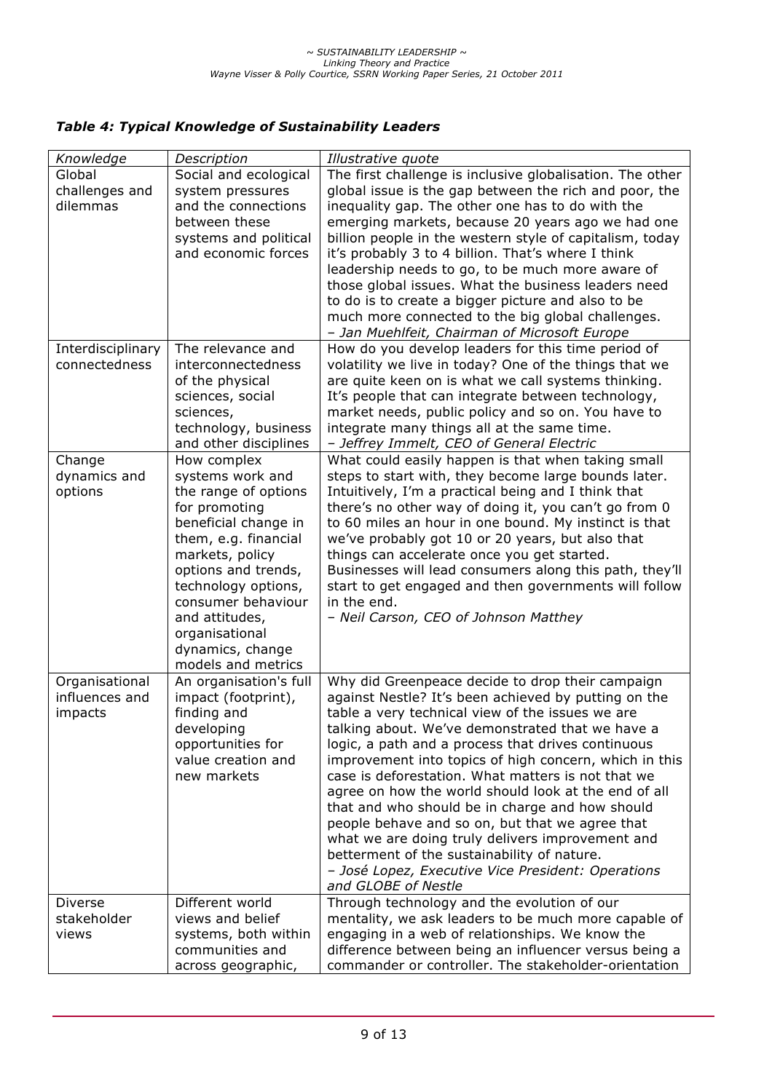*Table 4: Typical Knowledge of Sustainability Leaders*

| Knowledge         | Description            | Illustrative quote                                        |
|-------------------|------------------------|-----------------------------------------------------------|
| Global            | Social and ecological  | The first challenge is inclusive globalisation. The other |
| challenges and    | system pressures       | global issue is the gap between the rich and poor, the    |
| dilemmas          | and the connections    | inequality gap. The other one has to do with the          |
|                   | between these          | emerging markets, because 20 years ago we had one         |
|                   | systems and political  |                                                           |
|                   |                        | billion people in the western style of capitalism, today  |
|                   | and economic forces    | it's probably 3 to 4 billion. That's where I think        |
|                   |                        | leadership needs to go, to be much more aware of          |
|                   |                        | those global issues. What the business leaders need       |
|                   |                        | to do is to create a bigger picture and also to be        |
|                   |                        | much more connected to the big global challenges.         |
|                   |                        | - Jan Muehlfeit, Chairman of Microsoft Europe             |
| Interdisciplinary | The relevance and      | How do you develop leaders for this time period of        |
| connectedness     | interconnectedness     | volatility we live in today? One of the things that we    |
|                   | of the physical        | are quite keen on is what we call systems thinking.       |
|                   | sciences, social       | It's people that can integrate between technology,        |
|                   |                        |                                                           |
|                   | sciences,              | market needs, public policy and so on. You have to        |
|                   | technology, business   | integrate many things all at the same time.               |
|                   | and other disciplines  | - Jeffrey Immelt, CEO of General Electric                 |
| Change            | How complex            | What could easily happen is that when taking small        |
| dynamics and      | systems work and       | steps to start with, they become large bounds later.      |
| options           | the range of options   | Intuitively, I'm a practical being and I think that       |
|                   | for promoting          | there's no other way of doing it, you can't go from 0     |
|                   | beneficial change in   | to 60 miles an hour in one bound. My instinct is that     |
|                   | them, e.g. financial   | we've probably got 10 or 20 years, but also that          |
|                   | markets, policy        | things can accelerate once you get started.               |
|                   | options and trends,    | Businesses will lead consumers along this path, they'll   |
|                   | technology options,    | start to get engaged and then governments will follow     |
|                   | consumer behaviour     | in the end.                                               |
|                   | and attitudes,         | - Neil Carson, CEO of Johnson Matthey                     |
|                   |                        |                                                           |
|                   | organisational         |                                                           |
|                   | dynamics, change       |                                                           |
|                   | models and metrics     |                                                           |
| Organisational    | An organisation's full | Why did Greenpeace decide to drop their campaign          |
| influences and    | impact (footprint),    | against Nestle? It's been achieved by putting on the      |
| impacts           | finding and            | table a very technical view of the issues we are          |
|                   | developing             | talking about. We've demonstrated that we have a          |
|                   | opportunities for      | logic, a path and a process that drives continuous        |
|                   | value creation and     | improvement into topics of high concern, which in this    |
|                   | new markets            | case is deforestation. What matters is not that we        |
|                   |                        | agree on how the world should look at the end of all      |
|                   |                        | that and who should be in charge and how should           |
|                   |                        | people behave and so on, but that we agree that           |
|                   |                        |                                                           |
|                   |                        | what we are doing truly delivers improvement and          |
|                   |                        | betterment of the sustainability of nature.               |
|                   |                        | - José Lopez, Executive Vice President: Operations        |
|                   |                        | and GLOBE of Nestle                                       |
| Diverse           | Different world        | Through technology and the evolution of our               |
| stakeholder       | views and belief       | mentality, we ask leaders to be much more capable of      |
| views             | systems, both within   | engaging in a web of relationships. We know the           |
|                   | communities and        | difference between being an influencer versus being a     |
|                   | across geographic,     | commander or controller. The stakeholder-orientation      |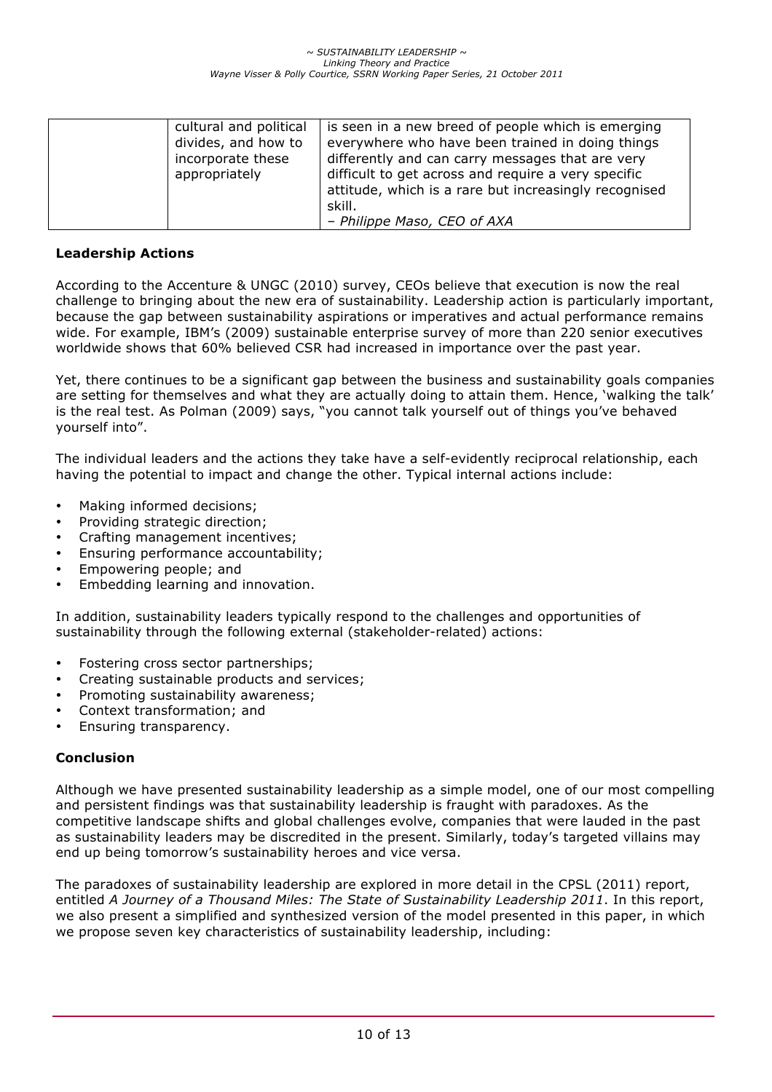| cultural and political<br>divides, and how to<br>incorporate these<br>appropriately | is seen in a new breed of people which is emerging<br>everywhere who have been trained in doing things<br>differently and can carry messages that are very<br>difficult to get across and require a very specific<br>attitude, which is a rare but increasingly recognised<br>skill.<br>- Philippe Maso, CEO of AXA |
|-------------------------------------------------------------------------------------|---------------------------------------------------------------------------------------------------------------------------------------------------------------------------------------------------------------------------------------------------------------------------------------------------------------------|

#### **Leadership Actions**

According to the Accenture & UNGC (2010) survey, CEOs believe that execution is now the real challenge to bringing about the new era of sustainability. Leadership action is particularly important, because the gap between sustainability aspirations or imperatives and actual performance remains wide. For example, IBM's (2009) sustainable enterprise survey of more than 220 senior executives worldwide shows that 60% believed CSR had increased in importance over the past year.

Yet, there continues to be a significant gap between the business and sustainability goals companies are setting for themselves and what they are actually doing to attain them. Hence, 'walking the talk' is the real test. As Polman (2009) says, "you cannot talk yourself out of things you've behaved yourself into".

The individual leaders and the actions they take have a self-evidently reciprocal relationship, each having the potential to impact and change the other. Typical internal actions include:

- Making informed decisions;
- Providing strategic direction;
- Crafting management incentives;
- Ensuring performance accountability;
- Empowering people; and
- Embedding learning and innovation.

In addition, sustainability leaders typically respond to the challenges and opportunities of sustainability through the following external (stakeholder-related) actions:

- Fostering cross sector partnerships;
- Creating sustainable products and services;
- Promoting sustainability awareness;
- Context transformation; and
- Ensuring transparency.

#### **Conclusion**

Although we have presented sustainability leadership as a simple model, one of our most compelling and persistent findings was that sustainability leadership is fraught with paradoxes. As the competitive landscape shifts and global challenges evolve, companies that were lauded in the past as sustainability leaders may be discredited in the present. Similarly, today's targeted villains may end up being tomorrow's sustainability heroes and vice versa.

The paradoxes of sustainability leadership are explored in more detail in the CPSL (2011) report, entitled *A Journey of a Thousand Miles: The State of Sustainability Leadership 2011*. In this report, we also present a simplified and synthesized version of the model presented in this paper, in which we propose seven key characteristics of sustainability leadership, including: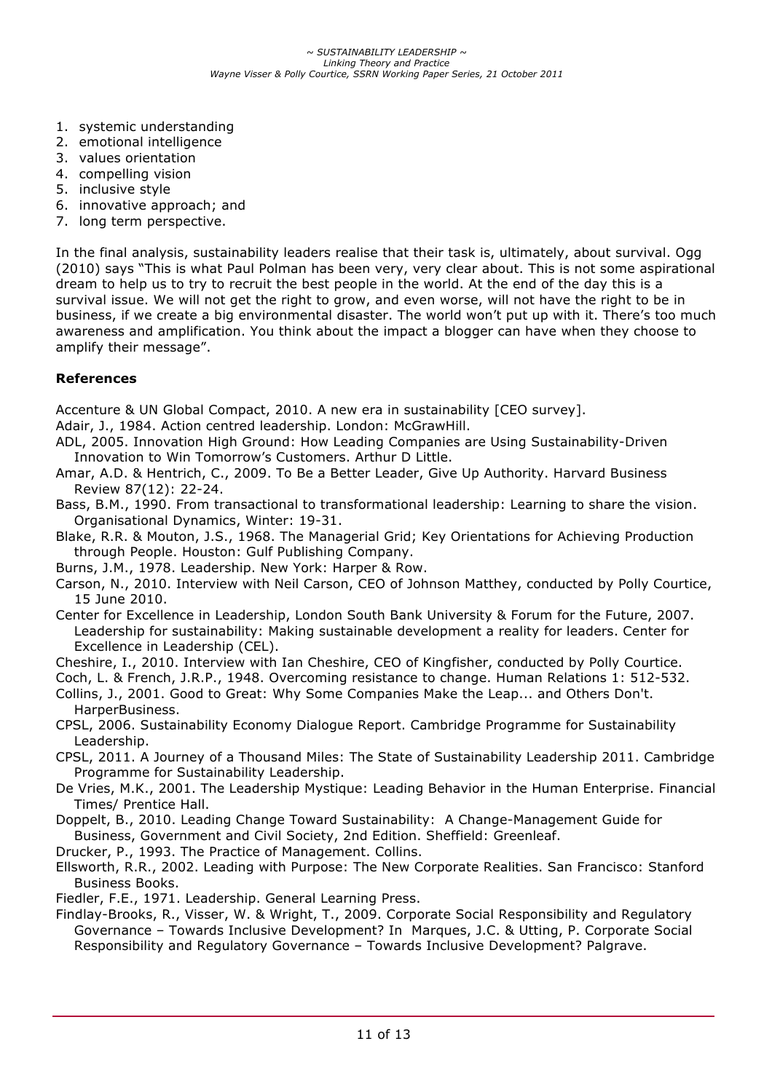- 1. systemic understanding
- 2. emotional intelligence
- 3. values orientation
- 4. compelling vision
- 5. inclusive style
- 6. innovative approach; and
- 7. long term perspective.

In the final analysis, sustainability leaders realise that their task is, ultimately, about survival. Ogg (2010) says "This is what Paul Polman has been very, very clear about. This is not some aspirational dream to help us to try to recruit the best people in the world. At the end of the day this is a survival issue. We will not get the right to grow, and even worse, will not have the right to be in business, if we create a big environmental disaster. The world won't put up with it. There's too much awareness and amplification. You think about the impact a blogger can have when they choose to amplify their message".

#### **References**

Accenture & UN Global Compact, 2010. A new era in sustainability [CEO survey].

- Adair, J., 1984. Action centred leadership. London: McGrawHill.
- ADL, 2005. Innovation High Ground: How Leading Companies are Using Sustainability-Driven Innovation to Win Tomorrow's Customers. Arthur D Little.
- Amar, A.D. & Hentrich, C., 2009. To Be a Better Leader, Give Up Authority. Harvard Business Review 87(12): 22-24.
- Bass, B.M., 1990. From transactional to transformational leadership: Learning to share the vision. Organisational Dynamics, Winter: 19-31.
- Blake, R.R. & Mouton, J.S., 1968. The Managerial Grid; Key Orientations for Achieving Production through People. Houston: Gulf Publishing Company.
- Burns, J.M., 1978. Leadership. New York: Harper & Row.
- Carson, N., 2010. Interview with Neil Carson, CEO of Johnson Matthey, conducted by Polly Courtice, 15 June 2010.
- Center for Excellence in Leadership, London South Bank University & Forum for the Future, 2007. Leadership for sustainability: Making sustainable development a reality for leaders. Center for Excellence in Leadership (CEL).

Cheshire, I., 2010. Interview with Ian Cheshire, CEO of Kingfisher, conducted by Polly Courtice.

Coch, L. & French, J.R.P., 1948. Overcoming resistance to change. Human Relations 1: 512-532.

Collins, J., 2001. Good to Great: Why Some Companies Make the Leap... and Others Don't. HarperBusiness.

CPSL, 2006. Sustainability Economy Dialogue Report. Cambridge Programme for Sustainability Leadership.

- CPSL, 2011. A Journey of a Thousand Miles: The State of Sustainability Leadership 2011. Cambridge Programme for Sustainability Leadership.
- De Vries, M.K., 2001. The Leadership Mystique: Leading Behavior in the Human Enterprise. Financial Times/ Prentice Hall.
- Doppelt, B., 2010. Leading Change Toward Sustainability: A Change-Management Guide for Business, Government and Civil Society, 2nd Edition. Sheffield: Greenleaf.
- Drucker, P., 1993. The Practice of Management. Collins.
- Ellsworth, R.R., 2002. Leading with Purpose: The New Corporate Realities. San Francisco: Stanford Business Books.
- Fiedler, F.E., 1971. Leadership. General Learning Press.
- Findlay-Brooks, R., Visser, W. & Wright, T., 2009. Corporate Social Responsibility and Regulatory Governance – Towards Inclusive Development? In Marques, J.C. & Utting, P. Corporate Social Responsibility and Regulatory Governance – Towards Inclusive Development? Palgrave.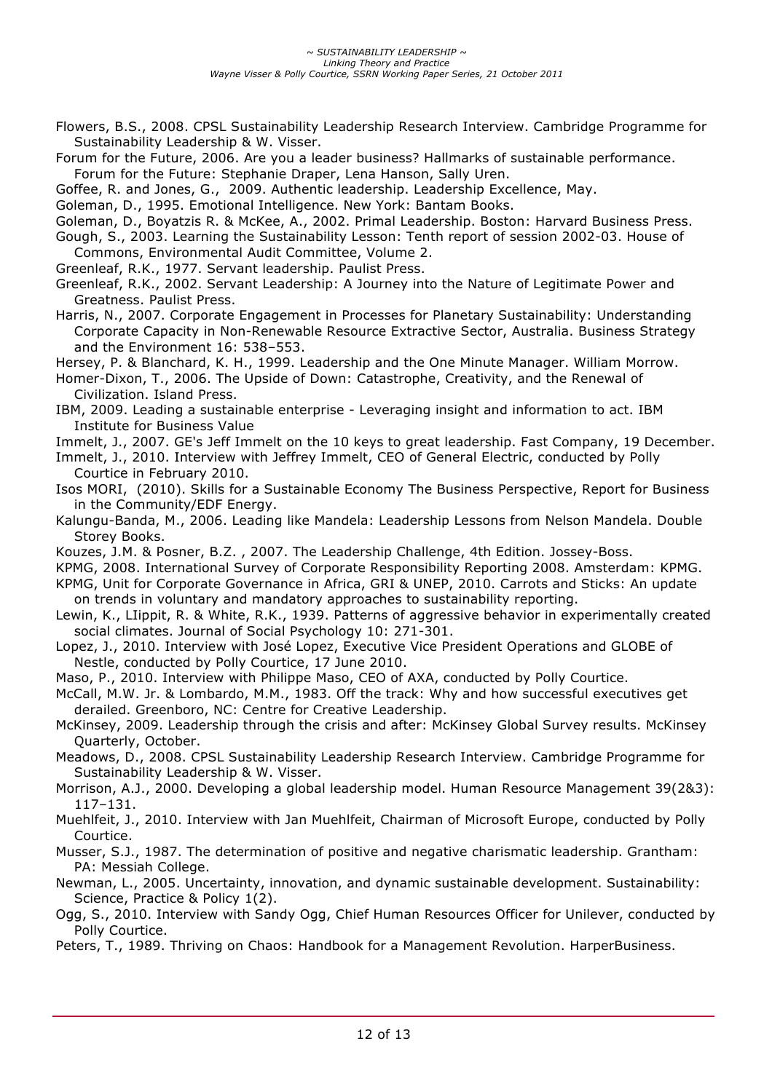- Flowers, B.S., 2008. CPSL Sustainability Leadership Research Interview. Cambridge Programme for Sustainability Leadership & W. Visser.
- Forum for the Future, 2006. Are you a leader business? Hallmarks of sustainable performance. Forum for the Future: Stephanie Draper, Lena Hanson, Sally Uren.
- Goffee, R. and Jones, G., 2009. Authentic leadership. Leadership Excellence, May.

Goleman, D., 1995. Emotional Intelligence. New York: Bantam Books.

- Goleman, D., Boyatzis R. & McKee, A., 2002. Primal Leadership. Boston: Harvard Business Press.
- Gough, S., 2003. Learning the Sustainability Lesson: Tenth report of session 2002-03. House of Commons, Environmental Audit Committee, Volume 2.
- Greenleaf, R.K., 1977. Servant leadership. Paulist Press.
- Greenleaf, R.K., 2002. Servant Leadership: A Journey into the Nature of Legitimate Power and Greatness. Paulist Press.
- Harris, N., 2007. Corporate Engagement in Processes for Planetary Sustainability: Understanding Corporate Capacity in Non-Renewable Resource Extractive Sector, Australia. Business Strategy and the Environment 16: 538–553.
- Hersey, P. & Blanchard, K. H., 1999. Leadership and the One Minute Manager. William Morrow.
- Homer-Dixon, T., 2006. The Upside of Down: Catastrophe, Creativity, and the Renewal of Civilization. Island Press.
- IBM, 2009. Leading a sustainable enterprise Leveraging insight and information to act. IBM Institute for Business Value
- Immelt, J., 2007. GE's Jeff Immelt on the 10 keys to great leadership. Fast Company, 19 December.
- Immelt, J., 2010. Interview with Jeffrey Immelt, CEO of General Electric, conducted by Polly Courtice in February 2010.
- Isos MORI, (2010). Skills for a Sustainable Economy The Business Perspective, Report for Business in the Community/EDF Energy.
- Kalungu-Banda, M., 2006. Leading like Mandela: Leadership Lessons from Nelson Mandela. Double Storey Books.
- Kouzes, J.M. & Posner, B.Z. , 2007. The Leadership Challenge, 4th Edition. Jossey-Boss.
- KPMG, 2008. International Survey of Corporate Responsibility Reporting 2008. Amsterdam: KPMG.
- KPMG, Unit for Corporate Governance in Africa, GRI & UNEP, 2010. Carrots and Sticks: An update on trends in voluntary and mandatory approaches to sustainability reporting.
- Lewin, K., LIippit, R. & White, R.K., 1939. Patterns of aggressive behavior in experimentally created social climates. Journal of Social Psychology 10: 271-301.
- Lopez, J., 2010. Interview with José Lopez, Executive Vice President Operations and GLOBE of Nestle, conducted by Polly Courtice, 17 June 2010.
- Maso, P., 2010. Interview with Philippe Maso, CEO of AXA, conducted by Polly Courtice.
- McCall, M.W. Jr. & Lombardo, M.M., 1983. Off the track: Why and how successful executives get derailed. Greenboro, NC: Centre for Creative Leadership.

McKinsey, 2009. Leadership through the crisis and after: McKinsey Global Survey results. McKinsey Quarterly, October.

- Meadows, D., 2008. CPSL Sustainability Leadership Research Interview. Cambridge Programme for Sustainability Leadership & W. Visser.
- Morrison, A.J., 2000. Developing a global leadership model. Human Resource Management 39(2&3): 117–131.
- Muehlfeit, J., 2010. Interview with Jan Muehlfeit, Chairman of Microsoft Europe, conducted by Polly Courtice.
- Musser, S.J., 1987. The determination of positive and negative charismatic leadership. Grantham: PA: Messiah College.
- Newman, L., 2005. Uncertainty, innovation, and dynamic sustainable development. Sustainability: Science, Practice & Policy 1(2).
- Ogg, S., 2010. Interview with Sandy Ogg, Chief Human Resources Officer for Unilever, conducted by Polly Courtice.
- Peters, T., 1989. Thriving on Chaos: Handbook for a Management Revolution. HarperBusiness.